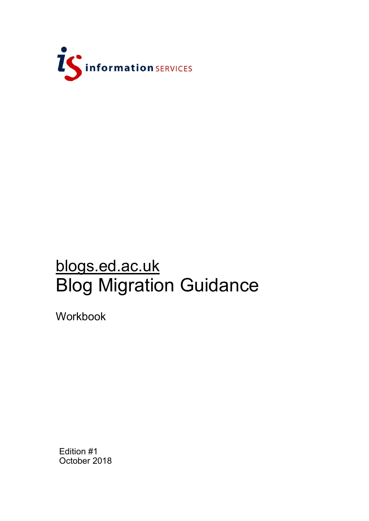

# blogs.ed.ac.uk Blog Migration Guidance

Workbook

Edition #1 October 2018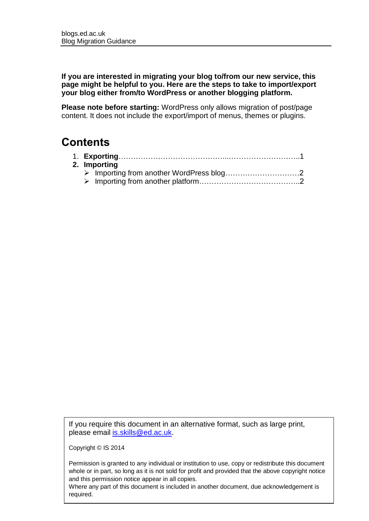**If you are interested in migrating your blog to/from our new service, this page might be helpful to you. Here are the steps to take to import/export your blog either from/to WordPress or another blogging platform.**

**Please note before starting:** WordPress only allows migration of post/page content. It does not include the export/import of menus, themes or plugins.

### **Contents**

| 2. Importing |  |
|--------------|--|
|              |  |
|              |  |
|              |  |

If you require this document in an alternative format, such as large print, please email [is.skills@ed.ac.uk.](mailto:is.skills@ed.ac.uk)

Copyright © IS 2014

Permission is granted to any individual or institution to use, copy or redistribute this document whole or in part, so long as it is not sold for profit and provided that the above copyright notice and this permission notice appear in all copies.

Where any part of this document is included in another document, due acknowledgement is required.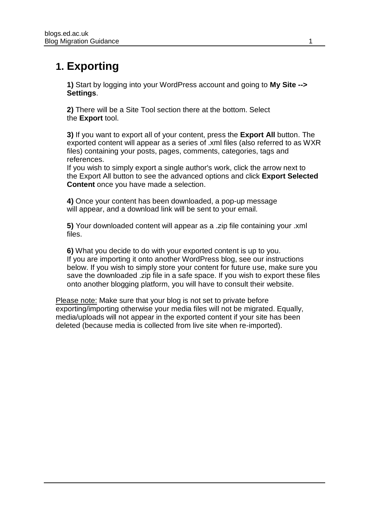## **1. Exporting**

**1)** Start by logging into your WordPress account and going to **My Site --> Settings**.

**2)** There will be a Site Tool section there at the bottom. Select the **Export** tool.

**3)** If you want to export all of your content, press the **Export All** button. The exported content will appear as a series of .xml files (also referred to as WXR files) containing your posts, pages, comments, categories, tags and references.

If you wish to simply export a single author's work, click the arrow next to the Export All button to see the advanced options and click **Export Selected Content** once you have made a selection.

**4)** Once your content has been downloaded, a pop-up message will appear, and a download link will be sent to your email.

**5)** Your downloaded content will appear as a .zip file containing your .xml files.

**6)** What you decide to do with your exported content is up to you. If you are importing it onto another WordPress blog, see our instructions below. If you wish to simply store your content for future use, make sure you save the downloaded .zip file in a safe space. If you wish to export these files onto another blogging platform, you will have to consult their website.

Please note: Make sure that your blog is not set to private before exporting/importing otherwise your media files will not be migrated. Equally, media/uploads will not appear in the exported content if your site has been deleted (because media is collected from live site when re-imported).